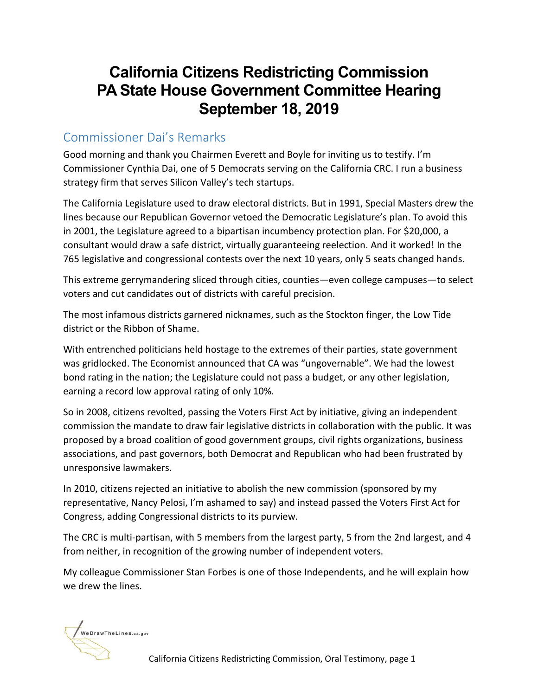## **California Citizens Redistricting Commission PA State House Government Committee Hearing September 18, 2019**

## Commissioner Dai's Remarks

Good morning and thank you Chairmen Everett and Boyle for inviting us to testify. I'm Commissioner Cynthia Dai, one of 5 Democrats serving on the California CRC. I run a business strategy firm that serves Silicon Valley's tech startups.

The California Legislature used to draw electoral districts. But in 1991, Special Masters drew the lines because our Republican Governor vetoed the Democratic Legislature's plan. To avoid this in 2001, the Legislature agreed to a bipartisan incumbency protection plan. For \$20,000, a consultant would draw a safe district, virtually guaranteeing reelection. And it worked! In the 765 legislative and congressional contests over the next 10 years, only 5 seats changed hands.

This extreme gerrymandering sliced through cities, counties—even college campuses—to select voters and cut candidates out of districts with careful precision.

The most infamous districts garnered nicknames, such as the Stockton finger, the Low Tide district or the Ribbon of Shame.

With entrenched politicians held hostage to the extremes of their parties, state government was gridlocked. The Economist announced that CA was "ungovernable". We had the lowest bond rating in the nation; the Legislature could not pass a budget, or any other legislation, earning a record low approval rating of only 10%.

So in 2008, citizens revolted, passing the Voters First Act by initiative, giving an independent commission the mandate to draw fair legislative districts in collaboration with the public. It was proposed by a broad coalition of good government groups, civil rights organizations, business associations, and past governors, both Democrat and Republican who had been frustrated by unresponsive lawmakers.

In 2010, citizens rejected an initiative to abolish the new commission (sponsored by my representative, Nancy Pelosi, I'm ashamed to say) and instead passed the Voters First Act for Congress, adding Congressional districts to its purview.

The CRC is multi-partisan, with 5 members from the largest party, 5 from the 2nd largest, and 4 from neither, in recognition of the growing number of independent voters.

My colleague Commissioner Stan Forbes is one of those Independents, and he will explain how we drew the lines.

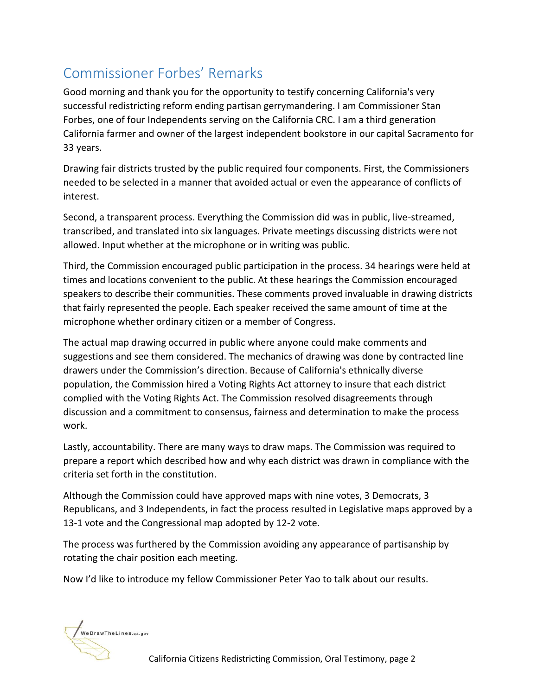## Commissioner Forbes' Remarks

Good morning and thank you for the opportunity to testify concerning California's very successful redistricting reform ending partisan gerrymandering. I am Commissioner Stan Forbes, one of four Independents serving on the California CRC. I am a third generation California farmer and owner of the largest independent bookstore in our capital Sacramento for 33 years.

Drawing fair districts trusted by the public required four components. First, the Commissioners needed to be selected in a manner that avoided actual or even the appearance of conflicts of interest.

Second, a transparent process. Everything the Commission did was in public, live-streamed, transcribed, and translated into six languages. Private meetings discussing districts were not allowed. Input whether at the microphone or in writing was public.

Third, the Commission encouraged public participation in the process. 34 hearings were held at times and locations convenient to the public. At these hearings the Commission encouraged speakers to describe their communities. These comments proved invaluable in drawing districts that fairly represented the people. Each speaker received the same amount of time at the microphone whether ordinary citizen or a member of Congress.

The actual map drawing occurred in public where anyone could make comments and suggestions and see them considered. The mechanics of drawing was done by contracted line drawers under the Commission's direction. Because of California's ethnically diverse population, the Commission hired a Voting Rights Act attorney to insure that each district complied with the Voting Rights Act. The Commission resolved disagreements through discussion and a commitment to consensus, fairness and determination to make the process work.

Lastly, accountability. There are many ways to draw maps. The Commission was required to prepare a report which described how and why each district was drawn in compliance with the criteria set forth in the constitution.

Although the Commission could have approved maps with nine votes, 3 Democrats, 3 Republicans, and 3 Independents, in fact the process resulted in Legislative maps approved by a 13-1 vote and the Congressional map adopted by 12-2 vote.

The process was furthered by the Commission avoiding any appearance of partisanship by rotating the chair position each meeting.

Now I'd like to introduce my fellow Commissioner Peter Yao to talk about our results.

WeDrawTheLines.ca.gov